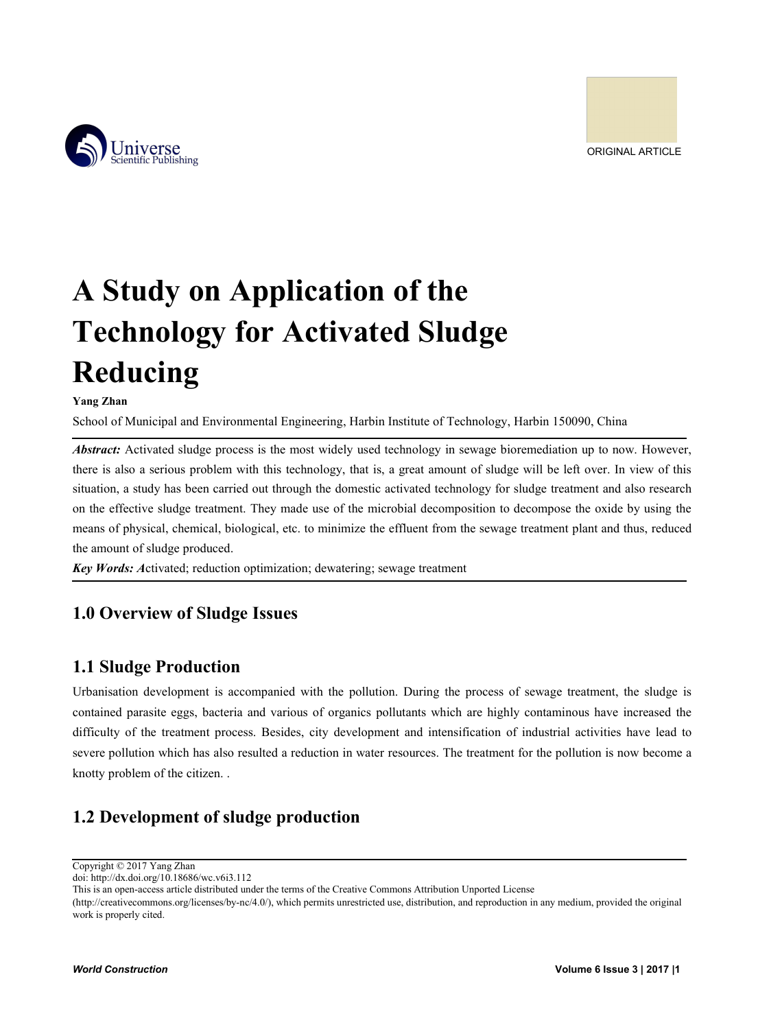

# **A Study on Application of the**<br> **A Study on Application of the**<br> **Technology for Activated Sludge**<br>
Reducing<br>
Nang Zhan<br>
School of Municipal and Environmental Engineering, Hatbin Institute of Technology, Hatbin 150990, Ch **Technology for Activated Sludge**<br> **Technology for Activated Sludge**<br> **Technology for Activated Sludge**<br> **Technology for Activated Sludge**<br> **Technology for Activated Sludge**<br> **Technology** *For Activated Sludge process is t* **Reducing A Study on Application of the<br>Technology for Activated Sludge<br>Reducing<br>Nang Zhan<br>School of Municipal and Environmental Engineering, Harbin Institute of Technology, Harbin 150090, China<br>Abstract: Activated sludge process i** A Study on Application of the<br>Technology for Activated Sludge<br>Reducing<br>School of Municipal and Environmental Engineering, Harbin Institute of Technology, Harbin 150090, China<br>*Abstract:* Activated sludge process is the mos *A Study on Application of the*<br> **Technology for Activated Sludge**<br> **Reducing**<br> **Reducing**<br> **Abstract:** Activated sludge process is the most widely used technology, Harbin 150090, China<br> *Abstract*: Activated sludge pr

**A Study on Application of the<br>Technology for Activated Sludge**<br>Reducing<br>Nang Zhan<br>School of Municipal and Environmental Engineering, Harbin Institute of Technology, Harbin 150090, China<br>Abstract: Activated sludge process Technology for Activated Sludge<br>
Reducing<br>
Yang Zhan<br>
School of Municipal and Environmental Engineering, Harbin Institute of Technology, Harbin 150090, China<br>
Abstract: Activated sludge process is the most widely used tech **Technology for Activated Sludge**<br> **Reducing**<br>
School of Municipal and Environmental Engineering, Harbin Institute of Technology, Harbin 150090, China<br> *Abstract:* Activated sludge process is the most widely used technolog **Reducing**<br> **Reducing**<br> **Reducing**<br> **Reducing**<br> **Reducing**<br> **Reducing**<br> **Reducing**<br> **Reducing**<br> **EXECUTE TREVALUATE CONTIGNATE:**<br> **Abstract:** Activated sludge process is the most widely used technology in sewage bioremedia **Reducing**<br>
Yang Zhan<br>
School of Municipal and Environmental Engineering, Harbis<br>
Abstract: Activated sludge process is the most widely used<br>
there is also a serious problem with this technology, that is<br>
situation, a stud **Example 18**<br>**Key Words:** Ashool of Municipal and Environmental Engineering, Harbin Institute of Technology, Harbin 150090, Chi<br>**Abstract:** Activated sludge process is the most widely used technology in sewage bioremediati **1.0 Overview of Sludge Issues**<br>
1.1 Sudge Production<br>
1.1 Sudge Production<br>
1.1 Sudge Production<br>
1.1 Sudge Production<br>
1.1 Sudge Production<br>
1.1 Sudge Production<br>
1.1 Sudge Production<br>
1.1 Sudge Production<br>
1.1 Sudge Pro **1.1 Sludge Production**<br> **1.1 Section** of Municipal and Environmental Engineering, Harbin Institute<br> **1.1 Abstract:** Activated sludge process is the most widely used technolog<br>
there is also a serious problem with this tec

on the effective sludge treatment. They made use of the microbial decomposition to decompose the oxide by using the<br>means of physical, chemical, biological, etc. to minimize the effluent from the sewage treatment plant and means of physical, chemical, biological, etc. to minimize the effluent from the sewage treatment plant and thus, reduced<br>the amount of sludge produced.<br>**Exp Words:** Activated; reduction optimization; dewatering; sewage tre **Example 10** Mords: Activated; reduction optimization; dewatering; sewage treatment<br> **1.0 Overview of Sludge Issues**<br> **1.1 Sludge Production**<br>
Urbanisation development is accompanied with the pollution. During the process **Example 10** Section optimization; dewatering; sewage treatment<br> **1.0 Overview of Sludge Issues**<br> **1.1 Sludge Production**<br>
Urbanisation development is accompanied with the pollution. During the process of sewage treatment, 1.0 Overview of Sludge Issues<br>
1.1 Sludge Production<br>
Urbanisation development is accompanied with the pollution. Dur<br>
contained parasite eggs, bacteria and various of organics pollutants<br>
difficulty of the treatment proce **1.0 Overview of Sludge Issues**<br> **1.1 Sludge Production**<br> **1.1 Sludge Production**<br> **1.1 Sludge Production**<br> **1.1 Sludge Production**<br> **1.1 Sludge Production**<br> **1.1 Sludge Production**<br> **1.1 Sludge Production**<br> **1.1 Sludge Pr** contained parasite eggs, bacteria and various of d<br>difficulty of the treatment process. Besides, city<br>severe pollution which has also resulted a reductio<br>knotty problem of the citizen. .<br>1.2 Development of sludge product<br>C difficulty of the treatment process. Besides, city dev<br>severe pollution which has also resulted a reduction in<br>knotty problem of the citizen.<br>1.2 Development of sludge production<br>Copyright © 2017 Yang Zhan<br>doi: http://dx.d This is an open-access article distributed and a reduction in water resources. The treatment for the pollution is now becometry problem of the citizen...<br> **1.2 Development of sludge production**<br>
Copyright © 2017 Yang Zhan<br> severe pollution which has also resulted a reduction in water resources. The treatment for the pollution is now become a<br>knotty problem of the citizen. .<br>
1.2 Development of sludge production<br>
Copyright © 2017 Yang Zhan<br>
T

knotty problem of the citizen. .<br> **1.2 Development of sludge pro**<br>
Copyright © 2017 Yang Zhan<br>
doi: http://dx.doi.org/10.18686/wc.v6i3.112<br>
This is an open-access article distributed under the terms<br>
(http://creativecommon *World Construction*<br> *World Construction*<br> *World Construction*<br> *World Construction*<br> **World Construction**<br>
<sup>2</sup> *World Construction*<br>
<sup>2</sup> *World Construction*<br>
<sup>2</sup> *World Construction*<br>
<sup>2</sup> *World Construction*<br>
<sup>2</sup> *Wo*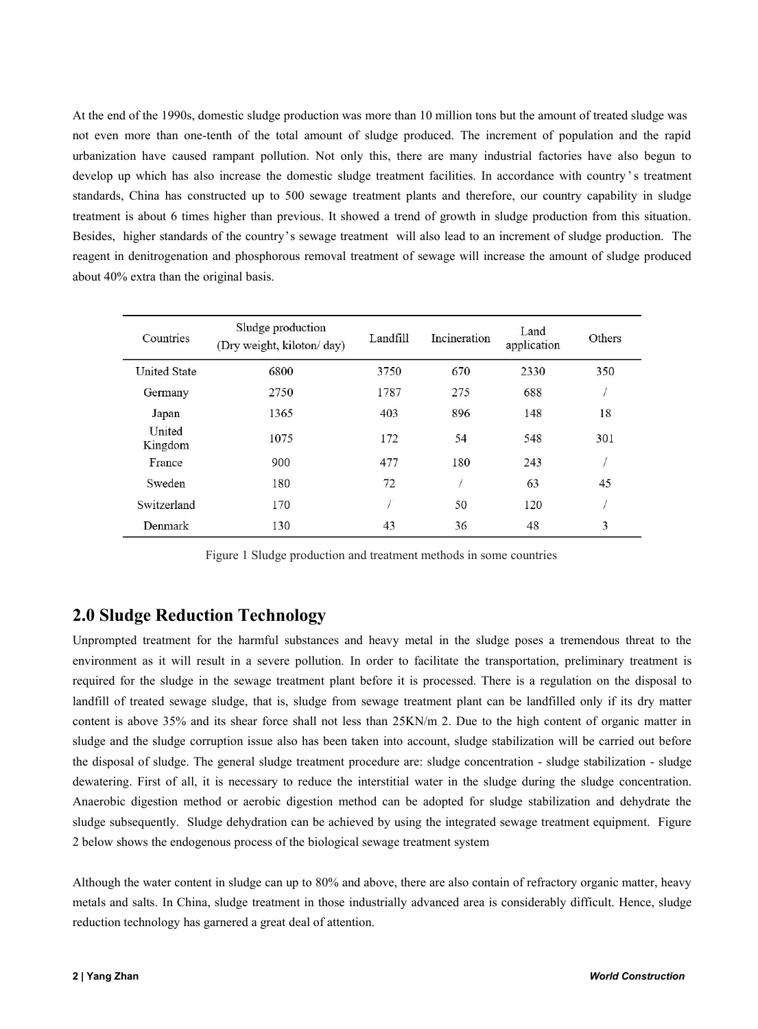At the end of the 1990s, domestic sludge production was more than 10 million tons but the amount of treated sludge was not even more than one-tenth of the total amount of sludge produced. The increment of population and th At the end of the 1990s, domestic sludge production was more than 10 million tons but the amount of treated sludge was<br>not even more than one-tenth of the total amount of sludge produced. The increment of population and th At the end of the 1990s, domestic sludge production was more than 10 million tons but the amount of treated sludge was<br>not even more than one-tenth of the total amount of sludge produced. The increment of population and th At the end of the 1990s, domestic sludge production was more than 10 million tons but the amount of treated sludge was<br>not even more than one-tenth of the total amount of sludge produced. The increment of population and th At the end of the 1990s, domestic sludge production was more than 10 million tons but the amount of treated sludge was<br>not even more than one-tenth of the total amount of sludge produced. The increment of population and th At the end of the 1990s, domestic sludge production was more than 10 million tons but the amount of treated sludge was<br>not even more than one-tenth of the total amount of sludge produced. The increment of population and th At the end of the 1990s, domestic sludge production was more than 10 million tons but the amount of treated sludge was<br>not even more than one-tenth of the total amount of sludge produced. The increment of population and th At the end of the 1990s, domestic sludge production was more than 10 million tons but the amount of treated sludge was<br>not even more than one-tenth of the total amount of sludge produced. The increment of population and th At the end of the 1990s, domestic sludge production was more than 10 m<br>not even more than one-tenth of the total amount of sludge produce<br>urbanization have caused rampant pollution. Not only this, there are<br>develop up whic

| 350<br>18<br>301                                                   |
|--------------------------------------------------------------------|
|                                                                    |
|                                                                    |
|                                                                    |
|                                                                    |
|                                                                    |
| 45                                                                 |
|                                                                    |
| 3                                                                  |
| Figure 1 Sludge production and treatment methods in some countries |

Figure 1 Sludge production and treatment methods in some countries

Sweden 180 72 / 63 45<br>
Switzerland 170 / 50 120 /<br>
Denmark 130 43 36 48 3<br>
Figure 1 Sludge production and treatment methods in some countries<br>
2.0 Sludge Reduction Technology<br>
Unprompted treatment for the harmful substanc Switzerland 170 / 50 120 / <br>
Denmark 130 43 36 48 3<br>
Figure 1 Sludge production and treatment methods in some countries<br> **2.0 Sludge Reduction Technology**<br>
Unprompted treatment for the harmful substances and heavy metal i **Example 1 130** 43 36 48 3<br>
Figure 1 Sludge production and treatment methods in some countries<br> **2.0 Sludge Reduction Technology**<br>
Unprompted treatment for the harmful substances and heavy metal in the sludge poses a treme Figure 1 Sludge production and treatment methods in some countries<br> **2.0 Sludge Reduction Technology**<br>
Unprompted treatment for the harmful substances and heavy metal in the sludge poses a tremendous threat to the<br>
nenviro Figure 1 Sludge production and treatment methods in some countries<br>
2.0 Sludge Reduction Technology<br>
Unprompted treatment for the harmful substances and heavy metal in the sludge poses a tremendous threat to the<br>
environme **2.0 Sludge Reduction Technology**<br>
Unprompted treatment for the harmful substances and heavy metal in the sludge poses a tremendous threat to the<br>
environment as it will result in a severe pollution. In order to facilitat **2.0 Sludge Reduction Technology**<br>
Unprompted treatment for the harmful substances and heavy metal in the sludge poses a tremendous threat to the<br>
environment as it will result in a severe pollution. In order to facilitate **2.0 Sludge Reduction Technology**<br>Unprompted treatment for the harmful substances and heavy metal in the sludge poses a tremendous threat to the<br>environment as it will result in a severe pollution. In order to facilitate t Unprompted treatment for the harmful substances and heavy metal in the sludge poses a tremendous threat to the environment as it will result in a severe pollution. In order to facilitate the transportation, preliminary tre environment as it will result in a severe pollution. In order to facilitate the transportation, preliminary treatment<br>required for the sludge in the sewage treatment plant before it is processed. There is a regulation on t landfill of treated sewage sludge, that is, sludge from sewage treatment plant can be landfilled only if its dry matter content is above 35% and its shear force shall not less than 25KN/m 2. Due to the high content of orga content is above 35% and its shear force shall not less than 25KN/m 2. Due to the high content of organic matter in sludge and the sludge corruption issue also has been taken into account, sludge stabilization will be carr sludge and the sludge corruption issue also has been taken into account, sludge stabiliathe disposal of sludge. The general sludge treatment procedure are: sludge concentration dewatering. First of all, it is necessary to

2 below shows the endogenous process of the biological sewage treatment system<br> **Although the water content in sludge can up to 80% and above, there are also contain of refractory organic matter, heavy<br>
metals and salts. I**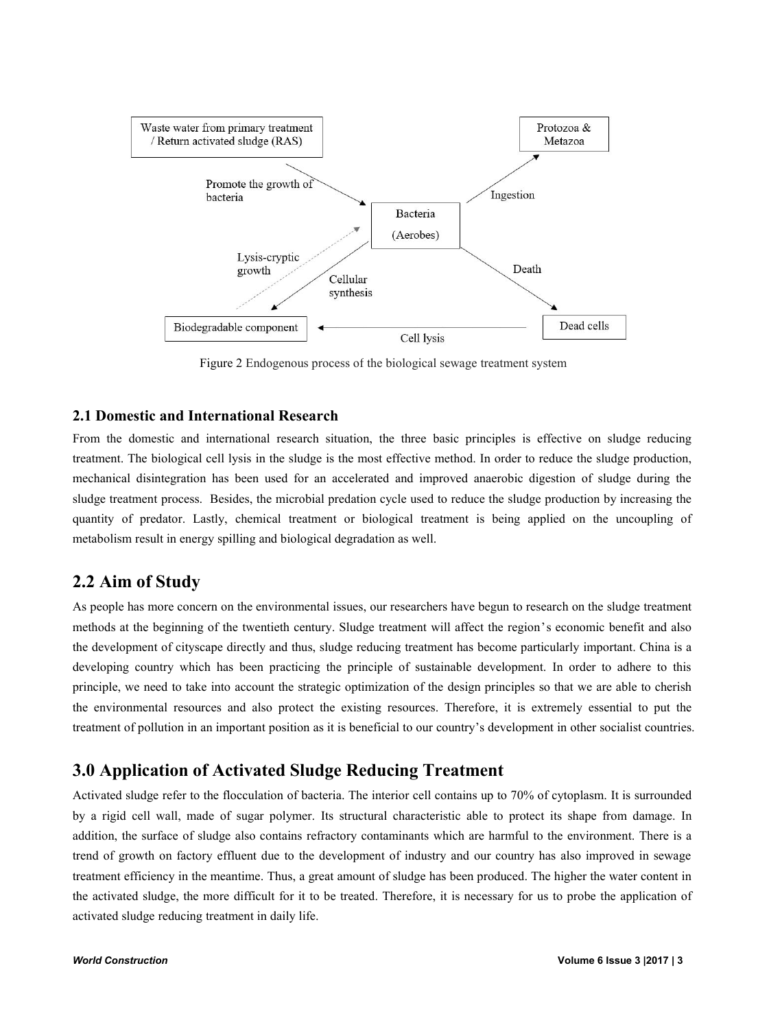

The biological cellular<br>
Tellular<br>
Tellular<br>
Tellular<br>
Tellular<br>
Tellular<br>
Tellular<br>
Tellular<br>
Tellular<br>
Tellular<br>
Tellular<br>
Tellular<br>
Tellular<br>
Tellular<br>
Tellular<br>
Tellular<br>
Tellular<br>
Tellular<br>
Tellular<br>
Tellular<br>
Tellula synthesis<br>
Figure 2 Endogenous process of the biological sewage treatment system<br>
2.1 Domestic and International Research<br>
From the domestic and International research<br>
from the domestic and international research<br>
integra Sludegradable component **Figure 2** Endogenous process of the biological sewage treatment system<br> **Example 1.1 Domestic and International Research**<br> **Example 1.1 Domestic and International Research**<br> **Example 1.1 Domestic a** Example 1991<br>
Figure 2 Endogenous process of the biological sewage treatment system<br> **2.1 Domestic and International Research**<br>
From the domestic and international research<br>
from the domestic and international research<br>
st Figure 2 Endogenous process of the biological sewage treatment system<br> **2.1 Domestic and International Research**<br>
From the domestic and international research<br>
freatment. The biological cell lysis in the sludge is the most **2.1 Domestic and International Research**<br> **2.1 Domestic and International Research**<br> **2.1 Domestic and International Research**<br> **2.1 Domestic and International Research**<br> **2.1 Domestic and International Research**<br> **2.2 Ai Example that the international research** situation, the three basic principles is effective on sludge reducing treatment. The biological cell lysis in the sludge is the most effective method. In order to reduce the sludge From the domestic and international research situation, the three basic principles is effective on sludge reducing<br>treatment. The biological cell lysis in the sludge is the most effective method. In order to reduce the slu

treatment. The biological cell lysis in the sludge is the most effective method. In order to reduce the sludge production, mechanical disintegration has been used for an accelerated and improved anaerobic digestion of slud mechanical disintegration has been used for an accelerated and improved anaerobic digestion of sludge during the<br>sludge treatment process. Besides, the microbial predation cycle used to reduce the sludge production by incr sludge treatment process. Besides, the microbial predation cycle used to reduce the sludge production by increasing the quantity of predator. Lastly, chemical treatment or biological treatment is being applied on the uncou quantity of predator. Lastly, chemical treatment or biological treatment is being applied on the uncoupling of<br>metabolism result in energy spilling and biological degradation as well.<br>
2.2 Aim of Study<br>
As people has more metabolism result in energy spilling and biological degradation as well.<br>
2.2 Aim of Study<br>
As people has more concern on the environmental issues, our researchers have begun to research on the sludge treatment<br>
methods at quantity of predator. Lastly, chemical treatment or biological treatment is being applied on the uncoupling of<br>metabolism result in energy spilling and biological degradation as well.<br> **2.2 Aim of Study**<br> **4.2 Aim of Study** As people has more concern on the environmental issues, our researchers have begun to research on the sludge treatment<br>methods at the beginning of the twentieth century. Sludge treatment will affect the region's economic b methods at the beginning of the twentieth century. Sludge treatment will affect the region's economic benefit and also<br>the developing country which has been practicing the principle of sustainable development. In order to

the development of cityscape directly and thus, sludge reducing treatment has become particularly important. China is a<br>developing country which has been practicing the principle of sustainable development. In order to dak developing country which has been practicing the principle of sustainable development. In order to dahere to this<br>principle, we need to take into account the strategic optimization of the design principles so that we are a principle, we need to take into account the strategic optimization of the design principles so that we are able to cherish<br>the environmental resources and also protect the existing resources. Therefore, it is extremely ess the environmental resources and also protect the existing resources. Therefore, it is extremely essential to put the<br>treatment of pollution in an important position as it is beneficial to our country's development in other treatment of pollution in an important position as it is beneficial to our country's do<br> **3.0 Application of Activated Sludge Reducing Treatmen**<br>
Activated sludge refer to the flocculation of bacteria. The interior cell co *by* a rigid cell wall, made of sugar polymer. Its structural characteristic able to protect its shape from damage. In addition, the surface of sludge also contains refractory contaminants which are harmful to the environ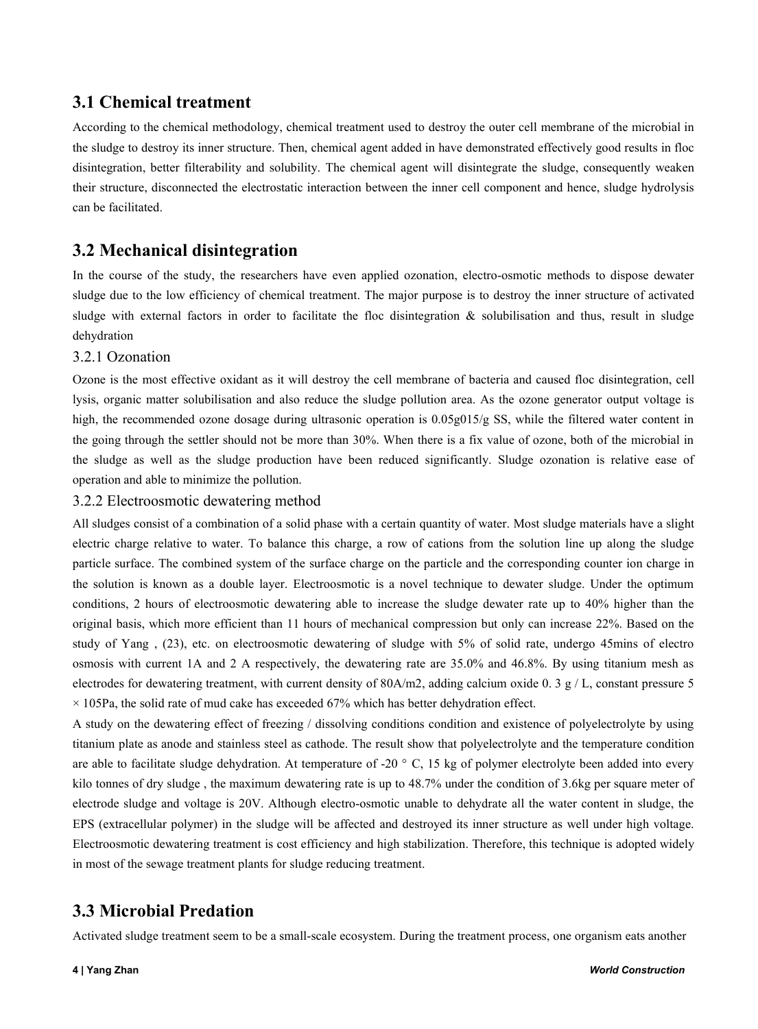**3.1 Chemical treatment**<br>According to the chemical methodology, chemical treatment used to destrifie sludge to destroy its inner structure. Then, chemical agent added in have<br>disintegration, better filterability and solubi **3.1 Chemical treatment**<br>According to the chemical methodology, chemical treatment used to destroy the outer cell membrane of the microbial in<br>the sludge to destroy its inner structure. Then, chemical agent added in have d **3.1 Chemical treatment**<br>According to the chemical methodology, chemical treatment used to destroy the outer cell membrane of the microbial in<br>the sludge to destroy its inner structure. Then, chemical agent added in have d **3.1 Chemical treatment**<br>According to the chemical methodology, chemical treatment used to destroy the outer cell membrane of the microbial in<br>the sludge to destroy its inner structure. Then, chemical agent added in have d **3.1 Chemical treatment**<br>According to the chemical methodology, chemical treatment used to destroy the outer cell membrane of the microbial in<br>the sludge to destroy its inner structure. Then, chemical agent added in have **3.1 Chemical treatment**<br>According to the chemical methodology, cherefore the sludge to destroy its inner structure. Then,<br>disintegration, better filterability and solubili<br>their structure, disconnected the electrostatic<br>c **3.1 Chemical treatment**<br>According to the chemical methodology, chemical treatment used to destroy the<br>the sludge to destroy its inner structure. Then, chemical agent added in have dem<br>disintegration, better filterability **3.1 Chemical treatment**<br>According to the chemical methodology, chemical treatment used to destroy the outer cell membrane of the microbial in<br>the sludge to destroy its inner structure. Then, chemical agent added in have d **S.1 CHEMICAT LEATMENT**<br>According to the chemical methodology, chemical treatment used to destroy the outer cell membrane of the microbial in<br>the sludge to destroy its inner structure. Then, chemical agent added in have de According to the chemical methodology, chemical treatment used to destroy the outer cell membrane of the microbial in<br>the sludge to destroy its imer structure. Then, chemical agent added in have demonstrated effectively go According to the chemical methodology, chemical tr<br>the sludge to destroy its inner structure. Then, chemic<br>disintegration, better filterability and solubility. The<br>their structure, disconnected the electrostatic interact<br>c

dehydration The most effective oxidant as it will destroy the more than a discrete is a five value of career back with the most effective oxidant as it will destroy the cell membrane of bacteria and caused floc disintegration, cell sh

**3.2 Mechanical disintegration**<br>In the course of the study, the researchers have even applied ozonation, electro-osmotic methods to dispose dewater<br>shudge due to the low efficiency of chemical treatment. The major purpose **3.2 Mechanical disintegration**<br>In the course of the study, the researchers have even applied ozonation, electro-osmotic methods to dispose dewater<br>sludge due to the low efficiency of chemical treatment. The major purpose **3.2 Mechanical disintegration**<br>In the course of the study, the researchers have even applied ozonation, electro-osmotic methods to dispose dewater<br>sludge due to the low efficiency of chemical treatment. The major purpose In the course of the study, the researchers have even applied ozonation, electro-osmotic methods to dispose dewater<br>sludge aut to the low efficiency of chemical treatment. The major purpose is to destroy the inner structur sludge due to the low efficiency of chemical treatment. The major purposludge with external factors in order to facilitate the floc disintegration<br>dehydration<br>3.2.1 Ozonation<br>Ozone is the most effective oxidant as it will In the course of the study, the researchers have even applied ozonation, electro-os<br>sludge due to the low efficiency of chemical treatment. The major purpose is to dest<br>sludge with external factors in order to facilitate denydration<br>
3.2.1 Ozonation<br>
Ozone is the most effective oxidant as it will destroy the cell membrane of bacteria and caused floc disintegration, cell<br>
yisis, organic matter solubilisation and also reduce the sludge pollu 3.2.1 Ozonation<br>Ozone is the most effective oxidant as it will destroy the cell membrane of bacteria and caused floc disintegration, cell<br>ysis, organic matter solubilisation and also reduce the sludge pollution area. As th Ozone is the most effective oxidant as it will destroy the cell membrane of bacteria and caused floc disintegration, cell<br>ysis, organic matter solubilisation and also reduce the sludge pollution area. As the ozone generato

Ilysis, organic matter solubilisation and also reduce the sludge pollution area. As the ozone generator output voltage is<br>high, the recommended ozone dosage during ultrasonic operation is 0.05g015/g SS, while the filtered high, the recommended ozone dosage during ultrasonic operation is 0.05g015/g SS, while the filtered water content in<br>the going through the settler should not be more than 30%. When there is a fix value of ozone, both of th the going through the settler should not be more than 30%. When there is a fix value of ozone, both of the microbial in<br>the sludge as well as the sludge production have been reduced significantly. Sludge ozonation is relat the sludge as well as the sludge production have been reduced significantly. Sludge ozonation is relative ease of<br>operation and able to minimize the pollution.<br>3.2.2 Electroosmotic dewatering method<br>All sludges consist of operation and able to minimize the pollution.<br>3.2.2 Electroosmotic dewatering method<br>All sludges consist of a combination of a solid phase with a certain quantity of water. Most sludge materials have a slight<br>electric cha 3.2.2 Electroosmotic dewatering method<br>All sludges consist of a combination of a solid phase with a certain quantity of water. Most sludge materials have a slight<br>electric charge relative to water. To balance this charge, All sludges consist of a combination of a solid phase with a certain quantity of water. Most sludge materials have a slight<br>electric charge relative to water. To balance this charge, a row of cations from the solution lin electric charge relative to water. To balance this charge, a row of cations from the solution line up along the sludge<br>particle surface. The combined system of the surface charge on the particle and the corresponding coun particle surface. The combined system of the surface charge on the particle and the corresponding counter ion charge in<br>the solution is known as a double layer. Electroosmotic is a novel technique to dewater sludge. Under the solution is known as a double layer. Electroosmotic is a novel technique to dewater sludge. Under the optimum<br>conditions, 2 hours of electroosmotic dewatering able to increase the sludge dewater rate up to 40% higher t

conditions, 2 hours of electroosmotic dewatering able to increase the sludge dewater rate up to 40% higher than the original basis, which more efficient than 11 hours of mechanical compression but only can increase 22%. Ba original basis, which more efficient than 11 hours of mechanical compression but only can increase 22%. Based on the<br>study of Yang, (23), etc. on electroosmotic dewatering of sludge with 5% of solid rate, undergo 45mins of study of Yang, (23), etc. on electroosmotic dewatering of sludge with 5% of solid rate, undergo 45mins of electro<br>osmosis with current 1A and 2 A respectively, the dewatering rate are 35.0% and 46.8%. By using titanium mes osmosis with current 1A and 2 A respectively, the dewatering rate are 35.0% and 46.8%. By using titanium mesh as<br>electrodes for dewatering treatment, with current density of 80A/m2, adding calcium oxide 0.3 g/L, constant p electrodes for dewatering treatment, with current density of 80A/m2, adding calcium oxide 0. 3 g × 105Pa, the solid rate of mud cake has exceeded 67% which has better dehydration effect.<br>A study on the dewatering effect of study of Tang, (25), etc. on electroosmotic dewatering of study of Tang, (25), etc. on electroosmotic dewatering rate are 3<br>electrodes for dewatering treatment, with current density of 80A/m2, addin<br>× 105Pa, the solid rate Activated sludge dehydration. At temperature of -20 ° C, 15 kg of polymer electrolyte been added into every<br>are able to facilitate sludge dehydration. At temperature of -20 ° C, 15 kg of polymer electrolyte been added into Electroosmotic dewatering treatment is cost efficiency and high stabilization. Therefore, this technique is adopted widely<br>Electroosmotic dewatering treatment is cost efficiency and high stabilization. Therefore, this tech